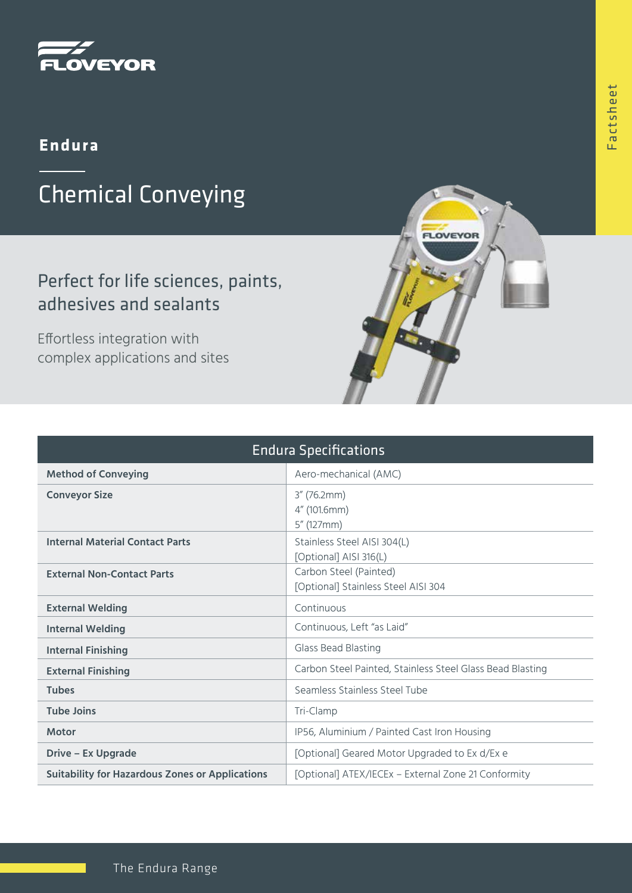

### **Endura**

# Chemical Conveying

## Perfect for life sciences, paints, adhesives and sealants

Effortless integration with complex applications and sites

| <b>Endura Specifications</b>                           |                                                               |
|--------------------------------------------------------|---------------------------------------------------------------|
| <b>Method of Conveying</b>                             | Aero-mechanical (AMC)                                         |
| <b>Conveyor Size</b>                                   | $3''$ (76.2mm)<br>4" (101.6mm)<br>$5''$ (127mm)               |
| <b>Internal Material Contact Parts</b>                 | Stainless Steel AISI 304(L)<br>[Optional] AISI 316(L)         |
| <b>External Non-Contact Parts</b>                      | Carbon Steel (Painted)<br>[Optional] Stainless Steel AISI 304 |
| <b>External Welding</b>                                | Continuous                                                    |
| <b>Internal Welding</b>                                | Continuous, Left "as Laid"                                    |
| <b>Internal Finishing</b>                              | Glass Bead Blasting                                           |
| <b>External Finishing</b>                              | Carbon Steel Painted, Stainless Steel Glass Bead Blasting     |
| <b>Tubes</b>                                           | Seamless Stainless Steel Tube                                 |
| <b>Tube Joins</b>                                      | Tri-Clamp                                                     |
| <b>Motor</b>                                           | IP56, Aluminium / Painted Cast Iron Housing                   |
| <b>Drive - Ex Upgrade</b>                              | [Optional] Geared Motor Upgraded to Ex d/Ex e                 |
| <b>Suitability for Hazardous Zones or Applications</b> | [Optional] ATEX/IECEx - External Zone 21 Conformity           |

LOVEYOR